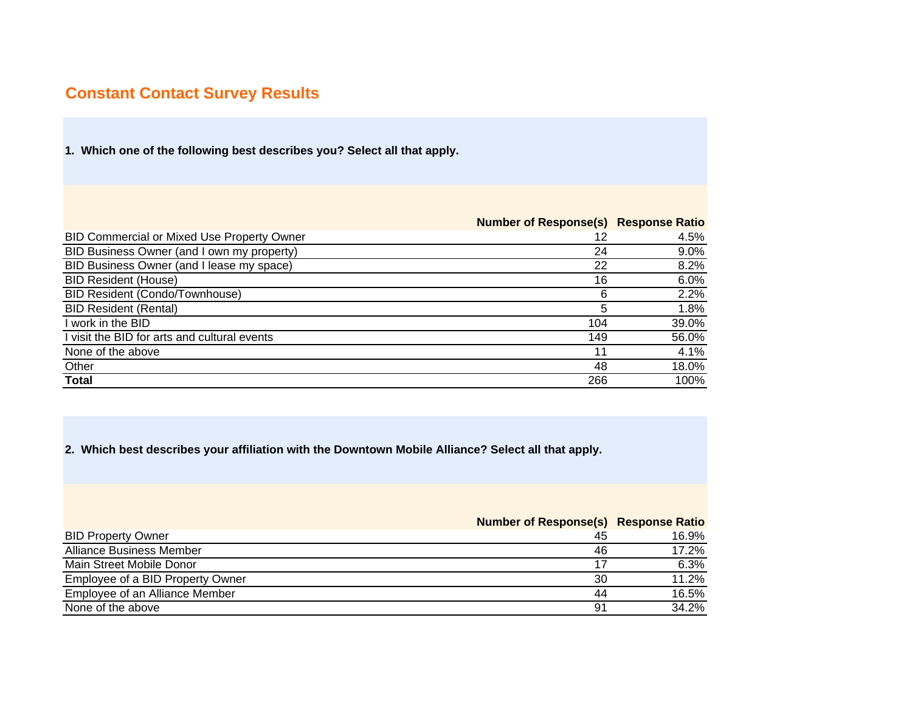# **Constant Contact Survey Results**

**1. Which one of the following best describes you? Select all that apply.** 

|                                                   | <b>Number of Response(s) Response Ratio</b> |         |
|---------------------------------------------------|---------------------------------------------|---------|
| <b>BID Commercial or Mixed Use Property Owner</b> | 12                                          | 4.5%    |
| BID Business Owner (and I own my property)        | 24                                          | $9.0\%$ |
| BID Business Owner (and I lease my space)         | 22                                          | 8.2%    |
| <b>BID Resident (House)</b>                       | 16                                          | 6.0%    |
| <b>BID Resident (Condo/Townhouse)</b>             | 6                                           | 2.2%    |
| <b>BID Resident (Rental)</b>                      | 5                                           | 1.8%    |
| I work in the BID                                 | 104                                         | 39.0%   |
| visit the BID for arts and cultural events        | 149                                         | 56.0%   |
| None of the above                                 | 11                                          | 4.1%    |
| Other                                             | 48                                          | 18.0%   |
| Total                                             | 266                                         | 100%    |

**2. Which best describes your affiliation with the Downtown Mobile Alliance? Select all that apply.** 

**Number of Response(s) Response Ratio**

| <b>BID Property Owner</b>        | 45 | 16.9% |
|----------------------------------|----|-------|
| Alliance Business Member         | 46 | 17.2% |
| Main Street Mobile Donor         |    | 6.3%  |
| Employee of a BID Property Owner | 30 | 11.2% |
| Employee of an Alliance Member   | 44 | 16.5% |
| None of the above                | 91 | 34.2% |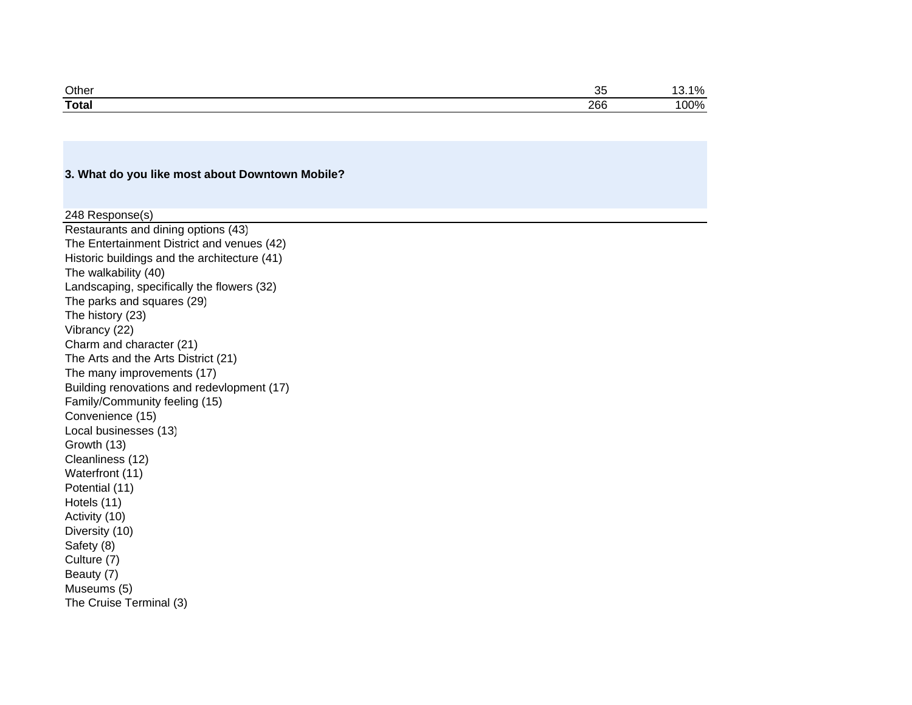| Other        | $\sim$<br>ັບ | 40/<br>70. ال |
|--------------|--------------|---------------|
| <b>Total</b> | 266          | 00%           |

#### **3. What do you like most about Downtown Mobile?**

Restaurants and dining options (43) The Entertainment District and venues (42) Historic buildings and the architecture (41) The walkability (40) Landscaping, specifically the flowers (32) The parks and squares (29) The history (23) Vibrancy (22) Charm and character (21) The Arts and the Arts District (21) The many improvements (17) Building renovations and redevlopment (17) Family/Community feeling (15) Convenience (15) Local businesses (13) Growth (13) Cleanliness (12) Waterfront (11) Potential (11) Hotels (11) Activity (10) Diversity (10) Safety (8) Culture (7) Beauty (7) Museums (5) The Cruise Terminal (3) 248 Response(s)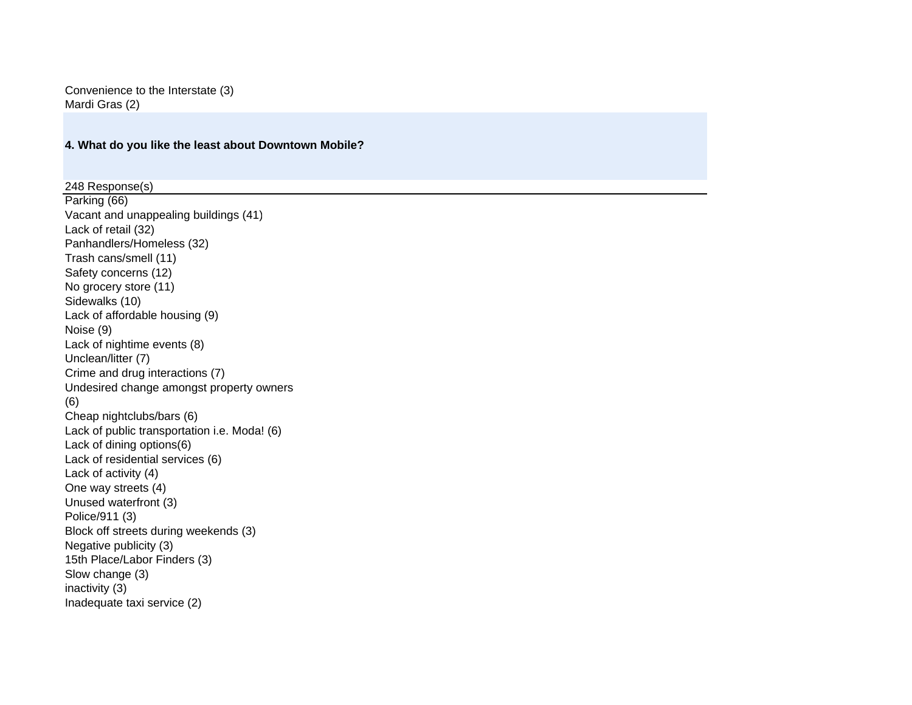Convenience to the Interstate (3) Mardi Gras (2)

#### **4. What do you like the least about Downtown Mobile?**

Parking (66) Vacant and unappealing buildings (41) Lack of retail (32) Panhandlers/Homeless (32) Trash cans/smell (11) Safety concerns (12) No grocery store (11) Sidewalks (10) Lack of affordable housing (9) Noise (9) Lack of nightime events (8) Unclean/litter (7) Crime and drug interactions (7) Undesired change amongst property owners (6) Cheap nightclubs/bars (6) Lack of public transportation i.e. Moda! (6) Lack of dining options(6) Lack of residential services (6) Lack of activity (4) One way streets (4) Unused waterfront (3) Police/911 (3) Block off streets during weekends (3) Negative publicity (3) 15th Place/Labor Finders (3) Slow change (3) inactivity (3) Inadequate taxi service (2) 248 Response(s)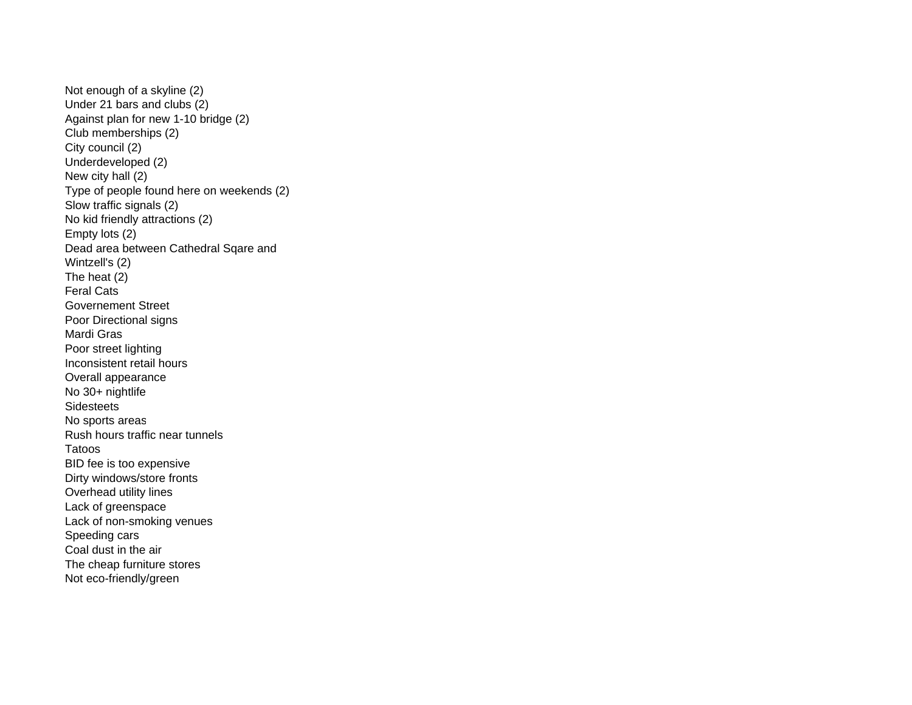Not enough of a skyline (2) Under 21 bars and clubs (2) Against plan for new 1-10 bridge (2) Club memberships (2) City council (2) Underdeveloped (2) New city hall (2) Type of people found here on weekends (2) Slow traffic signals (2) No kid friendly attractions (2) Empty lots (2) Dead area between Cathedral Sqare and Wintzell's (2) The heat (2) Feral CatsGovernement StreetPoor Directional signs Mardi Gras Poor street lighting Inconsistent retail hours Overall appearance No 30+ nightlife Sidesteets No sports areas Rush hours traffic near tunnelsTatoos BID fee is too expensive Dirty windows/store fronts Overhead utility lines Lack of greenspac e Lack of non-smoking venues Speeding cars Coal dust in the air The cheap furniture stores Not eco-friendly/green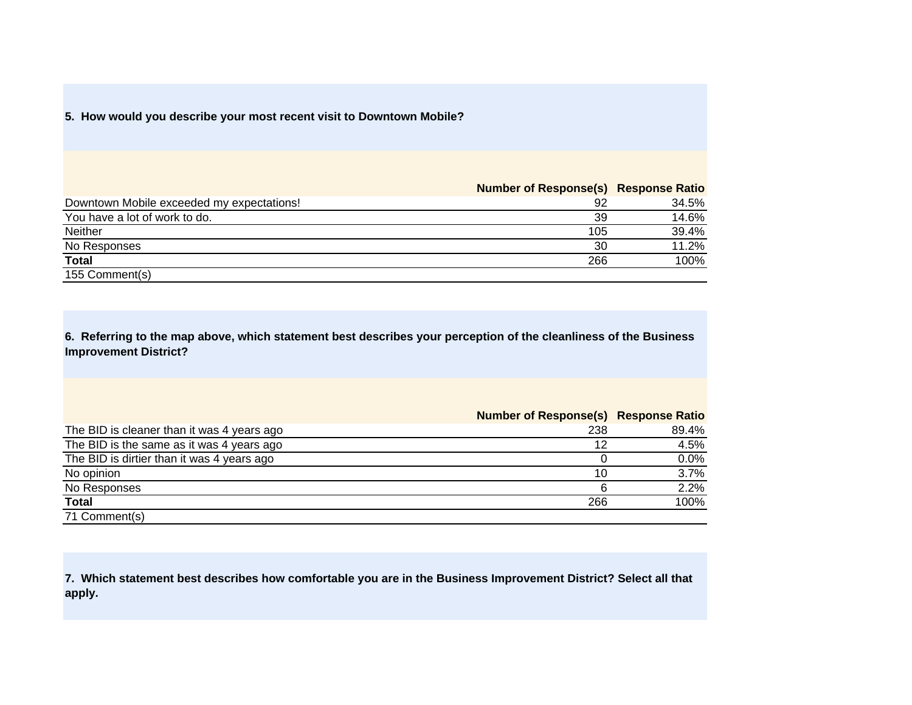#### **5. How would you describe your most recent visit to Downtown Mobile?**

## **Number of Response(s) Response Ratio**

| Downtown Mobile exceeded my expectations! | 92  | 34.5% |
|-------------------------------------------|-----|-------|
| You have a lot of work to do.             | 39  | 14.6% |
| Neither                                   | 105 | 39.4% |
| No Responses                              | 30  | 11.2% |
| <b>Total</b>                              | 266 | 100%  |
| 155 Comment(s)                            |     |       |

**6. Referring to the map above, which statement best describes your perception of the cleanliness of the Business Improvement District?** 

|                                            | Number of Response(s) Response Ratio |       |
|--------------------------------------------|--------------------------------------|-------|
| The BID is cleaner than it was 4 years ago | 238                                  | 89.4% |
| The BID is the same as it was 4 years ago  | 12                                   | 4.5%  |
| The BID is dirtier than it was 4 years ago |                                      | 0.0%  |
| No opinion                                 | 10                                   | 3.7%  |
| No Responses                               |                                      | 2.2%  |
| Total                                      | 266                                  | 100%  |
| 71 Comment(s)                              |                                      |       |

**7. Which statement best describes how comfortable you are in the Business Improvement District? Select all that apply.**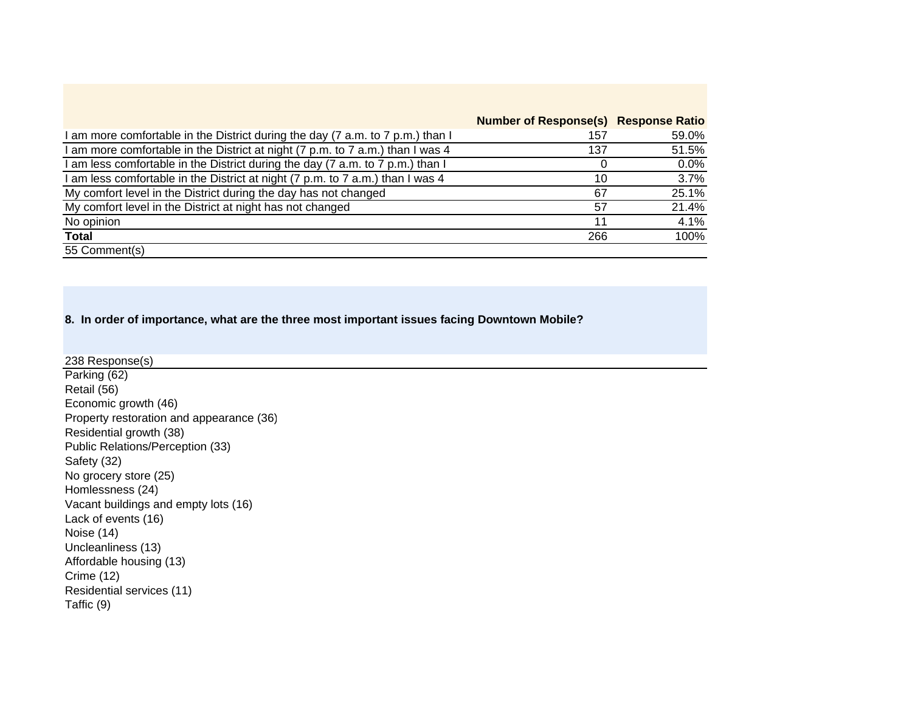|                                                                                | <b>Number of Response(s) Response Ratio</b> |         |
|--------------------------------------------------------------------------------|---------------------------------------------|---------|
| I am more comfortable in the District during the day (7 a.m. to 7 p.m.) than I | 157                                         | 59.0%   |
| am more comfortable in the District at night (7 p.m. to 7 a.m.) than I was 4   | 137                                         | 51.5%   |
| am less comfortable in the District during the day (7 a.m. to 7 p.m.) than I   |                                             | $0.0\%$ |
| I am less comfortable in the District at night (7 p.m. to 7 a.m.) than I was 4 | 10                                          | 3.7%    |
| My comfort level in the District during the day has not changed                | 67                                          | 25.1%   |
| My comfort level in the District at night has not changed                      | 57                                          | 21.4%   |
| No opinion                                                                     | 11                                          | 4.1%    |
| Total                                                                          | 266                                         | 100%    |
| 55 Comment(s)                                                                  |                                             |         |

**8. In order of importance, what are the three most important issues facing Downtown Mobile?** 

Parking (62) Retail (56) Economic growth (46) Property restoration and appearance (36) Residential growth (38) Public Relations/Perception (33) Safety (32) No grocery store (25) Homlessness (24) Vacant buildings and empty lots (16) Lack of events (16) Noise (14) Uncleanliness (13) Affordable housing (13) Crime (12) Residential services (11) Taffic (9) 238 Response(s)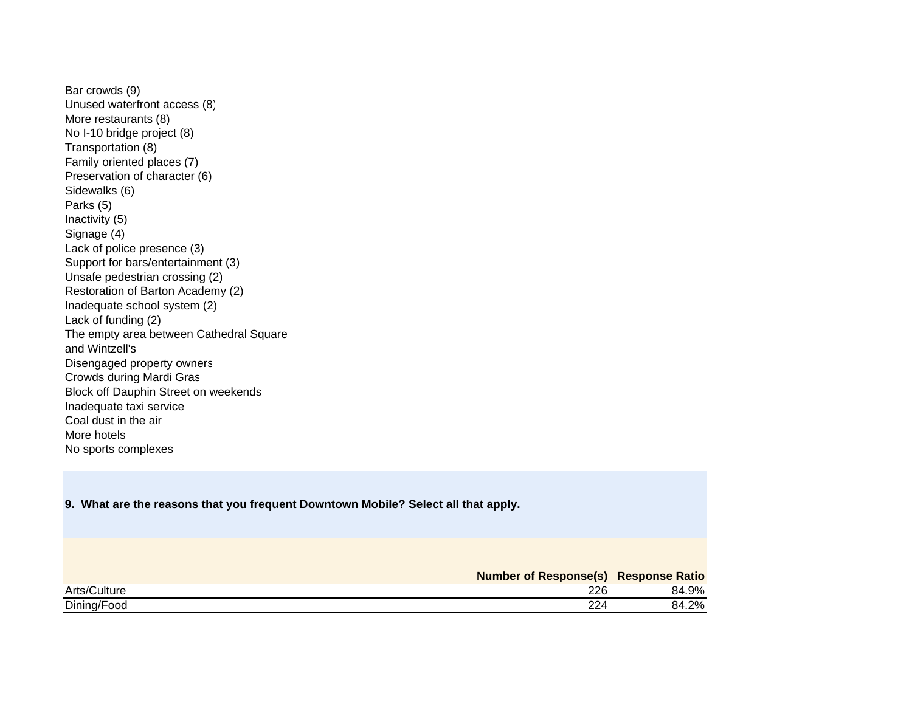Bar crowds (9) Unused waterfront access (8) More restaurants (8) No I-10 bridge project (8) Transportation (8) Family oriented places (7) Preservation of character (6) Sidewalks (6) Parks (5) Inactivity (5) Signage (4) Lack of police presence (3) Support for bars/entertainment (3) Unsafe pedestrian crossing (2) Restoration of Barton Academy (2) Inadequate school system (2) Lack of funding (2) The empty area between Cathedral Square and Wintzell's Disengaged property owners Crowds during Mardi Gras Block off Dauphin Street on weekends Inadequate taxi service Coal dust in the air More hotelsNo sports complexes

#### **9. What are the reasons that you frequent Downtown Mobile? Select all that apply.**

|              | <b>Number of Response(s) Response Ratio</b> |       |
|--------------|---------------------------------------------|-------|
| Arts/Culture | 226                                         | 84.9% |
| Dining/Food  | 224                                         | 84.2% |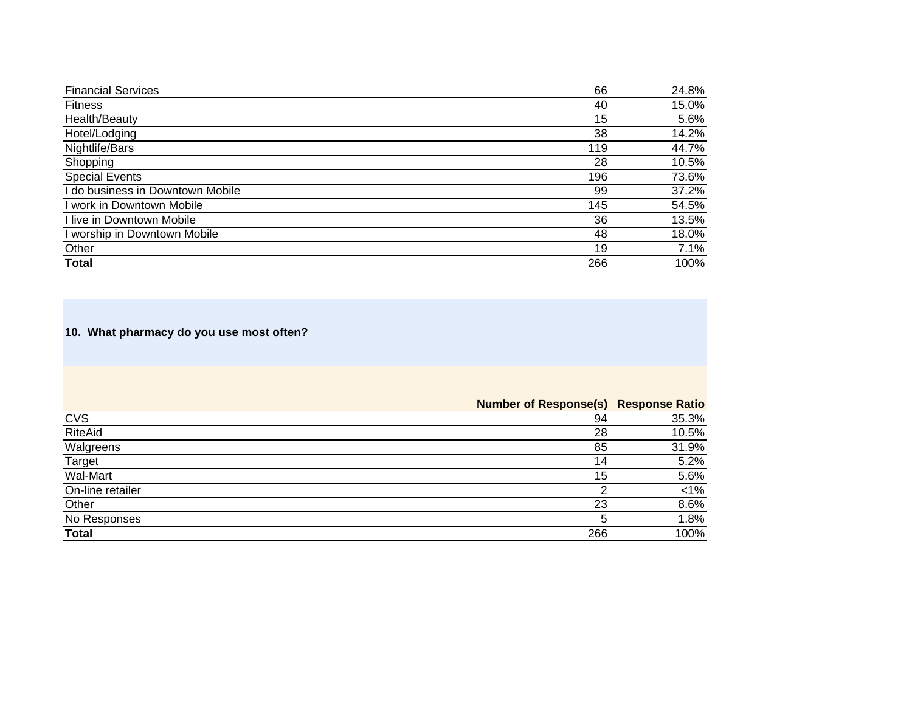| <b>Financial Services</b>        | 66  | 24.8% |
|----------------------------------|-----|-------|
| <b>Fitness</b>                   | 40  | 15.0% |
| Health/Beauty                    | 15  | 5.6%  |
| Hotel/Lodging                    | 38  | 14.2% |
| Nightlife/Bars                   | 119 | 44.7% |
| Shopping                         | 28  | 10.5% |
| <b>Special Events</b>            | 196 | 73.6% |
| I do business in Downtown Mobile | 99  | 37.2% |
| I work in Downtown Mobile        | 145 | 54.5% |
| I live in Downtown Mobile        | 36  | 13.5% |
| I worship in Downtown Mobile     | 48  | 18.0% |
| Other                            | 19  | 7.1%  |
| <b>Total</b>                     | 266 | 100%  |

**10. What pharmacy do you use most often?** 

**Number of Response(s) Response Ratio**

| CVS              | 94  | 35.3%   |
|------------------|-----|---------|
| RiteAid          | 28  | 10.5%   |
| Walgreens        | 85  | 31.9%   |
| <b>Target</b>    | 14  | 5.2%    |
| Wal-Mart         | 15  | 5.6%    |
| On-line retailer |     | $< 1\%$ |
| Other            | 23  | 8.6%    |
| No Responses     | b   | 1.8%    |
| <b>Total</b>     | 266 | 100%    |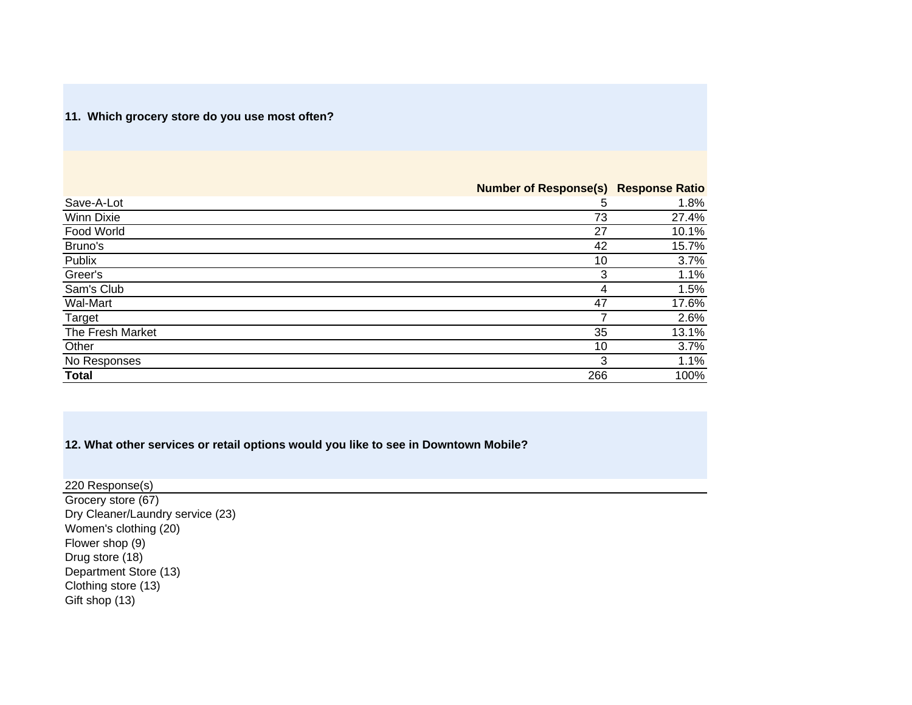## **11. Which grocery store do you use most often?**

|                   | <b>Number of Response(s)</b> | <b>Response Ratio</b> |
|-------------------|------------------------------|-----------------------|
| Save-A-Lot        | 5                            | 1.8%                  |
| <b>Winn Dixie</b> | 73                           | 27.4%                 |
| Food World        | 27                           | 10.1%                 |
| Bruno's           | 42                           | 15.7%                 |
| Publix            | 10                           | 3.7%                  |
| Greer's           | 3                            | 1.1%                  |
| Sam's Club        | 4                            | 1.5%                  |
| Wal-Mart          | 47                           | 17.6%                 |
| Target            |                              | 2.6%                  |
| The Fresh Market  | 35                           | 13.1%                 |
| Other             | 10                           | 3.7%                  |
| No Responses      | 3                            | 1.1%                  |
| <b>Total</b>      | 266                          | 100%                  |

## **12. What other services or retail options would you like to see in Downtown Mobile?**

Grocery store (67) Dry Cleaner/Laundry service (23) Women's clothing (20) Flower shop (9) Drug store (18) Department Store (13) Clothing store (13) Gift shop (13) 220 Response(s)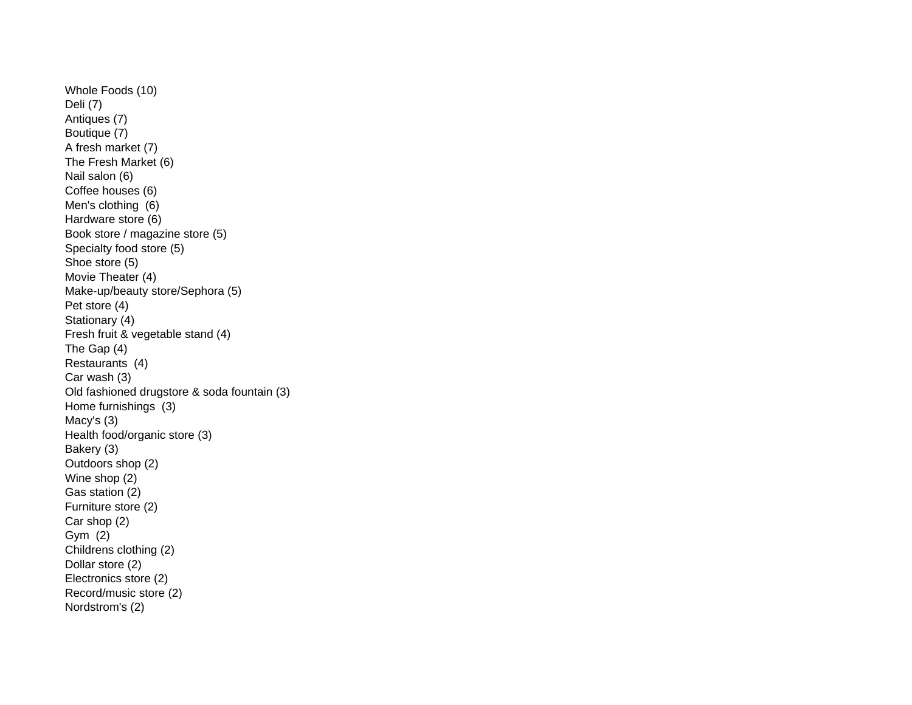Whole Foods (10) Deli (7) Antiques (7) Boutique (7) A fresh market (7) The Fresh Market (6) Nail salon (6) Coffee houses (6) Men's clothing (6) Hardware store (6) Book store / magazine store (5) Specialty food store (5) Shoe store (5) Movie Theater (4) Make-up/beauty store/Sephora (5) Pet store (4) Stationary (4) Fresh fruit & vegetable stand (4) The Gap (4) Restaurants (4) Car wash (3) Old fashioned drugstore & soda fountain (3) Home furnishings (3) Macy's (3) Health food/organic store (3) Bakery (3) Outdoors shop (2) Wine shop (2) Gas station (2) Furniture store (2) Car shop (2) Gym (2) Childrens clothing (2) Dollar store (2) Electronics store (2) Record/music store (2) Nordstrom's (2)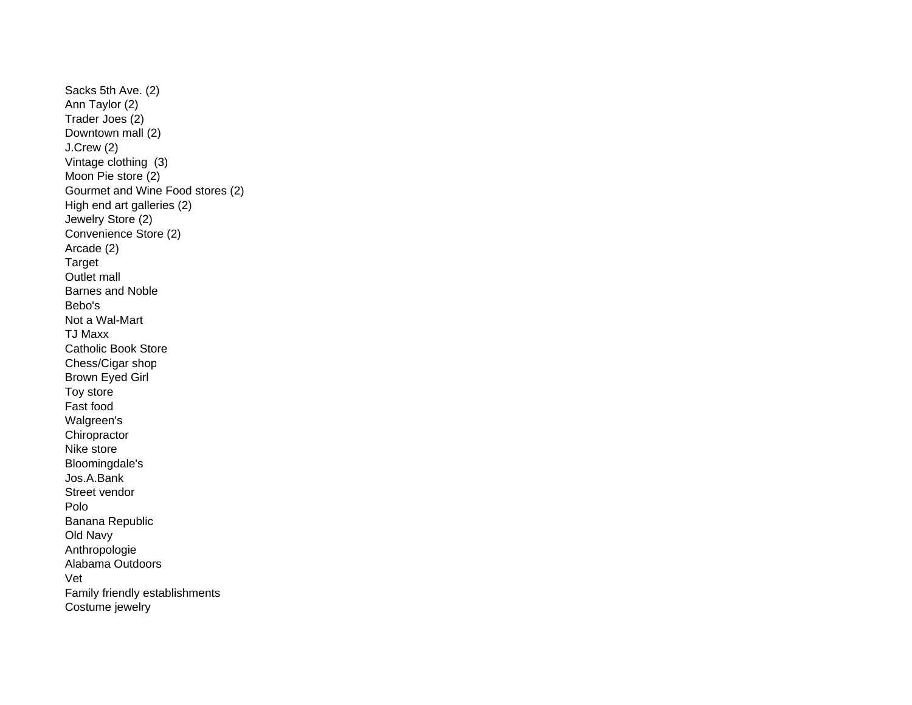Sacks 5th Ave. (2) Ann Taylor (2) Trader Joes (2) Downtown mall (2) J.Crew (2) Vintage clothing (3) Moon Pie store (2) Gourmet and Wine Food stores (2) High end art galleries (2) Jewelry Store (2) Convenience Store (2) Arcade (2) Target Outlet mall Barnes and NobleBebo'sNot a Wal-Mart TJ MaxxCatholic Book Store Chess/Cigar sho p Brown Eyed Girl Toy store Fast food Walgreen's **Chiropractor** Nike store Bloomingdale's Jos.A.BankStreet vendorPoloBanana Republic Old Navy Anthropologie Alabama OutdoorsVetFamily friendly establishments Costume jewelr y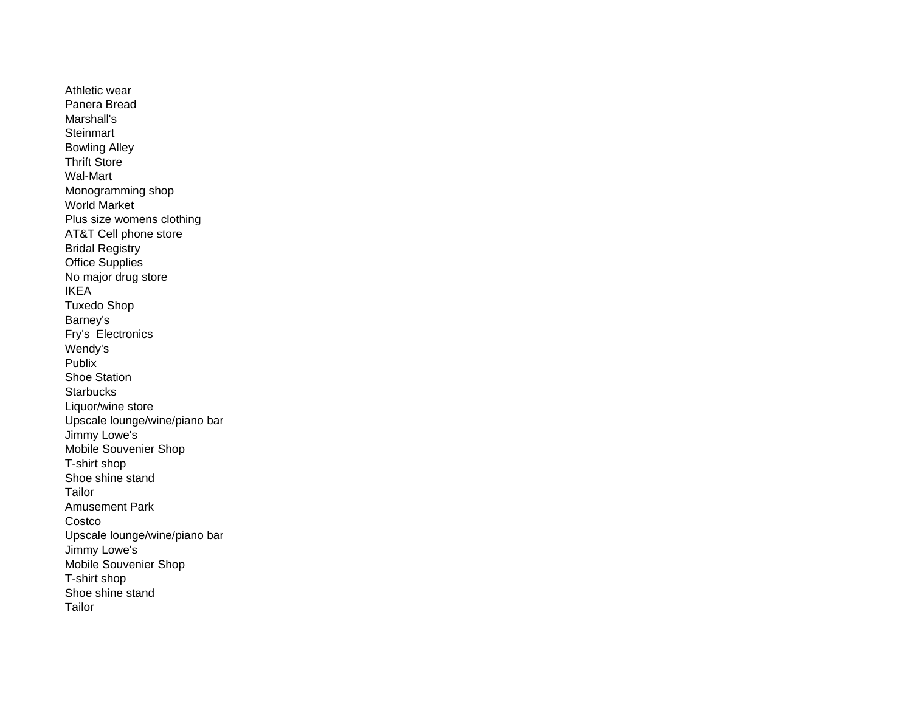Athletic wearPanera BreadMarshall's **Steinmart** Bowling Alley Thrift StoreWal-MartMonogramming shop World MarketPlus size womens clothing AT&T Cell phone store Bridal Registry Office Supplies No major drug store IKEATuxedo Shop Barney's Fry's Electronics Wendy's **Publix** Shoe Station**Starbucks**  Liquor/wine store Upscale lounge/wine/piano bar Jimmy Lowe's Mobile Souvenier Shop T-shirt shop Shoe shine standTailorAmusement ParkCostco Upscale lounge/wine/piano bar Jimmy Lowe's Mobile Souvenier Shop T-shirt shop Shoe shine standTailor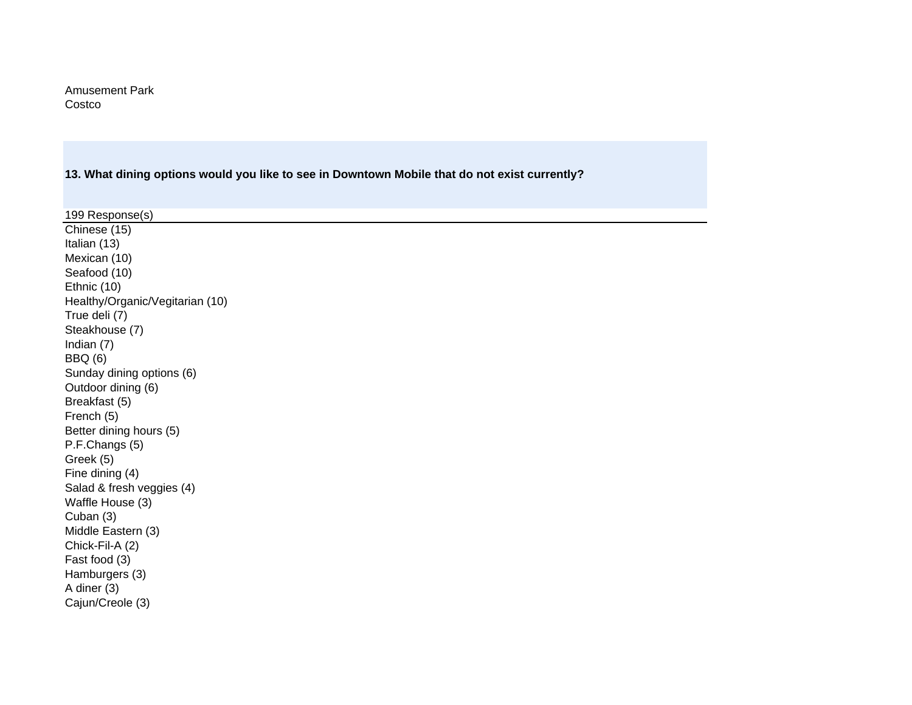Amusement Park Costco

**13. What dining options would you like to see in Downtown Mobile that do not exist currently?** 

| 199 Response(s)                 |
|---------------------------------|
| Chinese (15)                    |
| Italian (13)                    |
| Mexican (10)                    |
| Seafood (10)                    |
| Ethnic (10)                     |
| Healthy/Organic/Vegitarian (10) |
| True deli (7)                   |
| Steakhouse (7)                  |
| Indian (7)                      |
| <b>BBQ</b> (6)                  |
| Sunday dining options (6)       |
| Outdoor dining (6)              |
| Breakfast (5)                   |
| French (5)                      |
| Better dining hours (5)         |
| P.F.Changs (5)                  |
| Greek (5)                       |
| Fine dining (4)                 |
| Salad & fresh veggies (4)       |
| Waffle House (3)                |
| Cuban (3)                       |
| Middle Eastern (3)              |
| Chick-Fil-A (2)                 |
| Fast food (3)                   |
| Hamburgers (3)                  |
| A diner (3)                     |
| Cajun/Creole (3)                |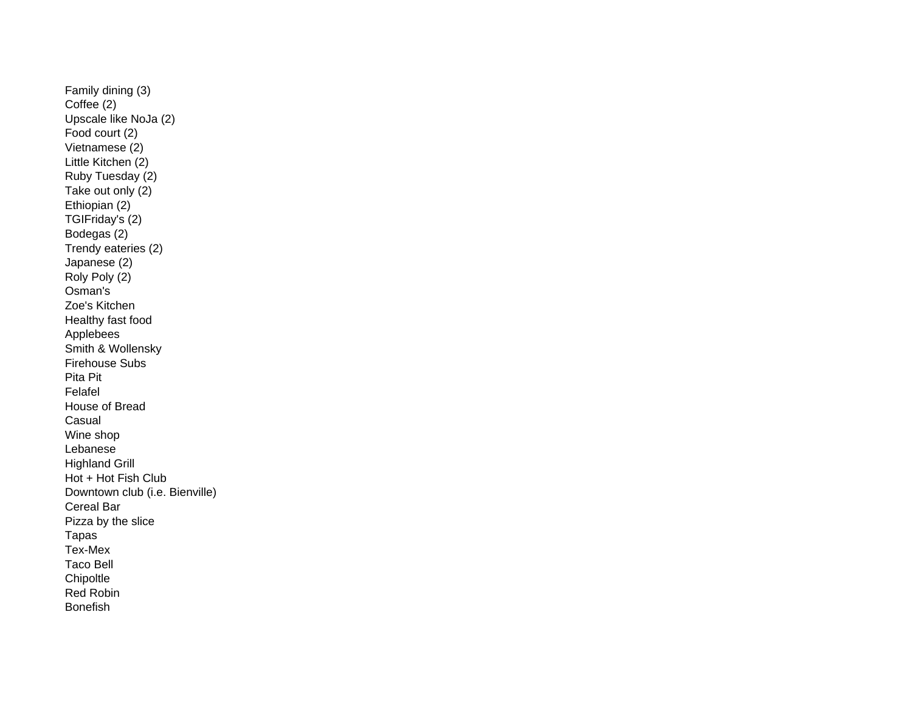Family dining (3) Coffee (2) Upscale like NoJa (2) Food court (2) Vietnamese (2) Little Kitchen (2) Ruby Tuesday (2) Take out only (2) Ethiopian (2) TGIFriday's (2) Bodegas (2) Trendy eateries (2) Japanese (2) Roly Poly (2) Osman's Zoe's KitchenHealthy fast food Applebees Smith & Wollensky Firehouse SubsPita PitFelafel House of Bread**Casual** Wine shop Lebanes e Highland Grill Hot + Hot Fish Club Downtown club (i.e. Bienville) Cereal BarPizza by the slice Tapas Tex-Mex Taco Bell**Chipoltle** Red RobinBonefish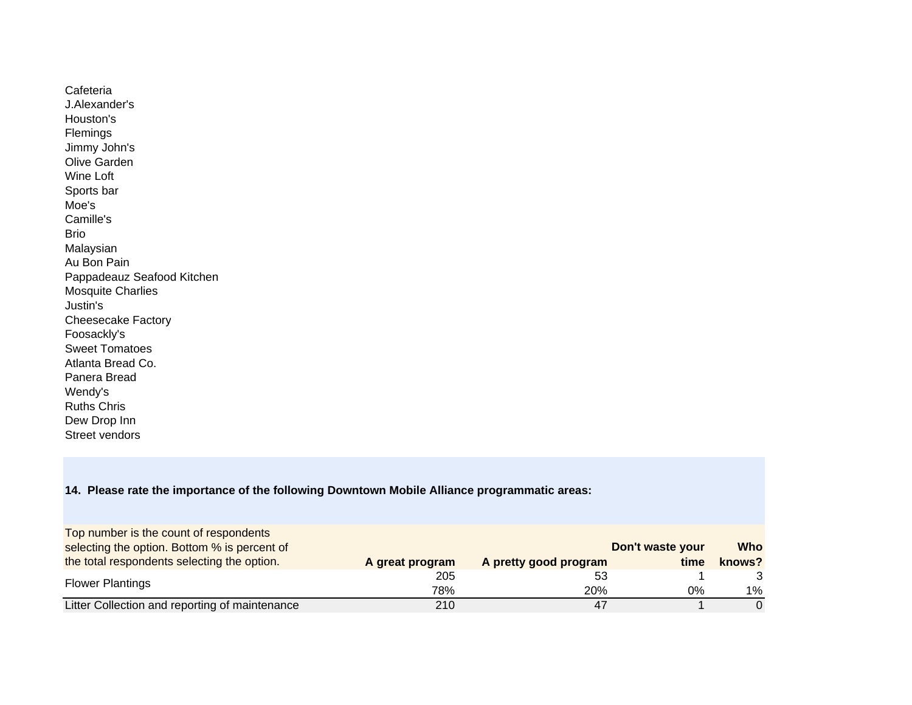Cafeteria J.Alexander'sHouston's Flemings Jimmy John's Olive GardenWine Loft Sports bar Moe'sCamille'sBrioMalaysian Au Bon Pain Pappadeauz Seafood Kitchen Mosquite Charlies Justin's Cheesecake Factory Foosackly's Sweet Tomatoes Atlanta Bread Co.Panera BreadWendy's Ruths Chris Dew Drop Inn Street vendors

#### **14. Please rate the importance of the following Downtown Mobile Alliance programmatic areas:**

| Top number is the count of respondents         |                 |                       |                  |            |
|------------------------------------------------|-----------------|-----------------------|------------------|------------|
| selecting the option. Bottom % is percent of   |                 |                       | Don't waste your | <b>Who</b> |
| the total respondents selecting the option.    | A great program | A pretty good program | time             | knows?     |
| <b>Flower Plantings</b>                        | 205             | 53                    |                  |            |
|                                                | 78%             | <b>20%</b>            | 0%               | $1\%$      |
| Litter Collection and reporting of maintenance | 210             |                       |                  |            |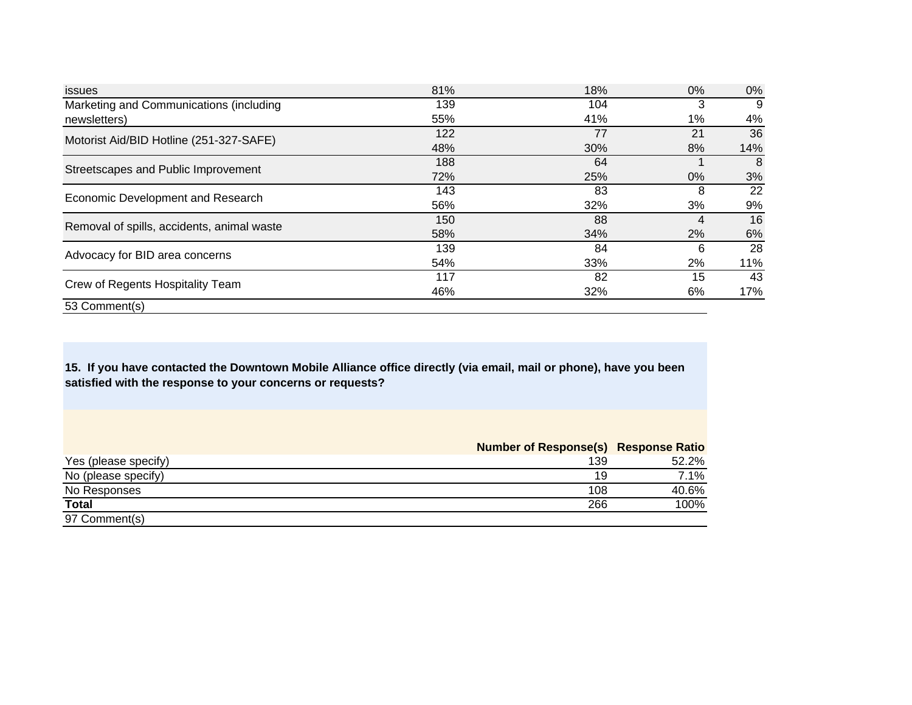| <i>issues</i>                              | 81% | 18% | $0\%$ | 0%  |
|--------------------------------------------|-----|-----|-------|-----|
| Marketing and Communications (including    | 139 | 104 | 3     | 9   |
| newsletters)                               | 55% | 41% | $1\%$ | 4%  |
| Motorist Aid/BID Hotline (251-327-SAFE)    | 122 | 77  | 21    | 36  |
|                                            | 48% | 30% | 8%    | 14% |
| Streetscapes and Public Improvement        | 188 | 64  |       | 8   |
|                                            | 72% | 25% | $0\%$ | 3%  |
| Economic Development and Research          | 143 | 83  | 8     | 22  |
|                                            | 56% | 32% | 3%    | 9%  |
| Removal of spills, accidents, animal waste | 150 | 88  | 4     | 16  |
|                                            | 58% | 34% | 2%    | 6%  |
| Advocacy for BID area concerns             | 139 | 84  | 6     | 28  |
|                                            | 54% | 33% | 2%    | 11% |
|                                            | 117 | 82  | 15    | 43  |
| Crew of Regents Hospitality Team           | 46% | 32% | 6%    | 17% |
| 53 Comment(s)                              |     |     |       |     |

**15. If you have contacted the Downtown Mobile Alliance office directly (via email, mail or phone), have you been satisfied with the response to your concerns or requests?** 

|                      | <b>Number of Response(s) Response Ratio</b> |       |
|----------------------|---------------------------------------------|-------|
| Yes (please specify) | 139                                         | 52.2% |
| No (please specify)  | 19                                          | 7.1%  |
| No Responses         | 108                                         | 40.6% |
| <b>Total</b>         | 266                                         | 100%  |
| 97 Comment(s)        |                                             |       |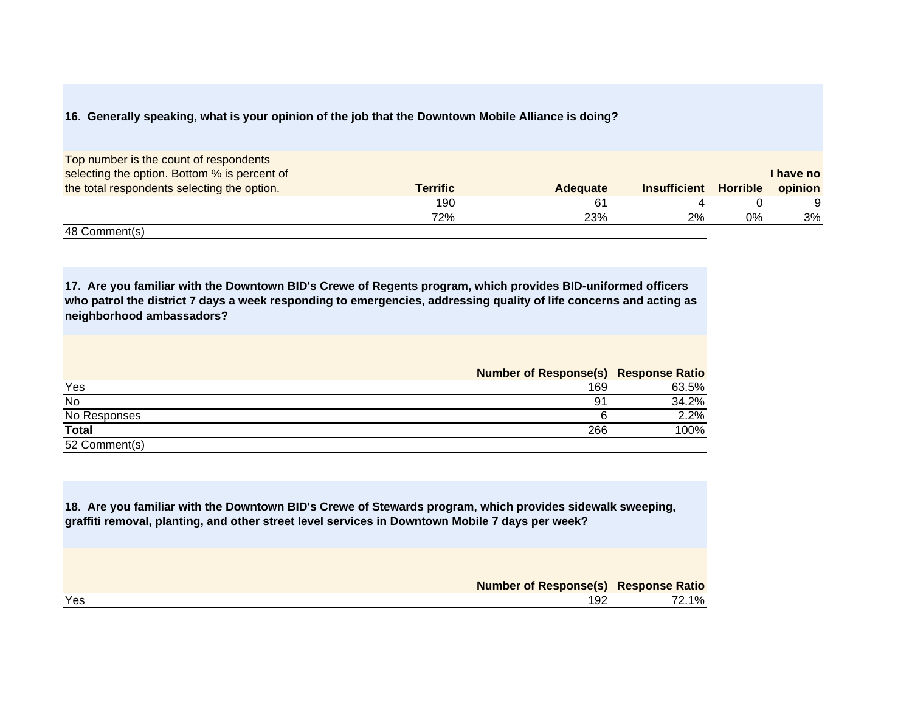#### **16. Generally speaking, what is your opinion of the job that the Downtown Mobile Alliance is doing?**

| Top number is the count of respondents       |                 |                 |                     |                 |           |
|----------------------------------------------|-----------------|-----------------|---------------------|-----------------|-----------|
| selecting the option. Bottom % is percent of |                 |                 |                     |                 | I have no |
| the total respondents selecting the option.  | <b>Terrific</b> | <b>Adequate</b> | <b>Insufficient</b> | <b>Horrible</b> | opinion   |
|                                              | 190             | -61             |                     |                 |           |
|                                              | 72%             | 23%             | 2%                  | 0%              | 3%        |
| 48 Comment(s)                                |                 |                 |                     |                 |           |

**17. Are you familiar with the Downtown BID's Crewe of Regents program, which provides BID-uniformed officers who patrol the district 7 days a week responding to emergencies, addressing quality of life concerns and acting as neighborhood ambassadors?** 

|               | <b>Number of Response(s) Response Ratio</b> |       |
|---------------|---------------------------------------------|-------|
| Yes           | 169                                         | 63.5% |
| No            | -91                                         | 34.2% |
| No Responses  |                                             | 2.2%  |
| <b>Total</b>  | 266                                         | 100%  |
| 52 Comment(s) |                                             |       |

**18. Are you familiar with the Downtown BID's Crewe of Stewards program, which provides sidewalk sweeping, graffiti removal, planting, and other street level services in Downtown Mobile 7 days per week?** 

| <b>Number of Response(s) Response Ratio</b> |     |       |
|---------------------------------------------|-----|-------|
| Yes                                         | 192 | 72.1% |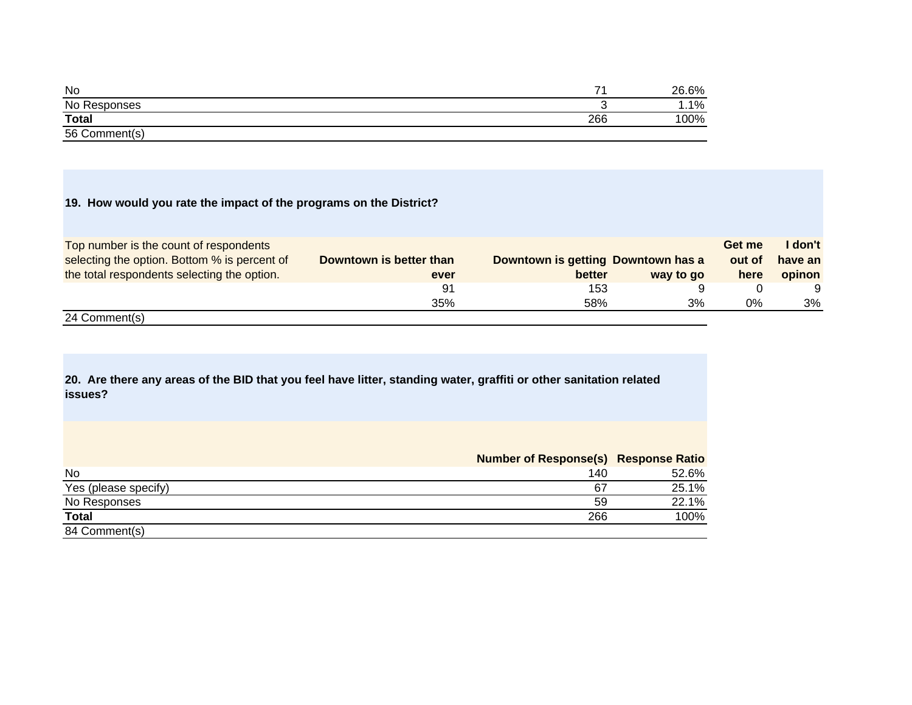| No                 | -   | 26.6%   |
|--------------------|-----|---------|
| No Responses       | ∼   | $1.1\%$ |
| <b>Total</b>       | 266 | 100%    |
| 56 C<br>Comment(s) |     |         |

## **19. How would you rate the impact of the programs on the District?**

| Top number is the count of respondents       |                         |                                    |           | Get me | I don't |
|----------------------------------------------|-------------------------|------------------------------------|-----------|--------|---------|
| selecting the option. Bottom % is percent of | Downtown is better than | Downtown is getting Downtown has a |           | out of | have an |
| the total respondents selecting the option.  | ever                    | better                             | way to go | here   | opinon  |
|                                              | 91                      | 153                                |           |        |         |
|                                              | 35%                     | 58%                                | 3%        | 0%     | 3%      |
| $\sim$ $\sim$                                |                         |                                    |           |        |         |

24 Comment(s)

**20. Are there any areas of the BID that you feel have litter, standing water, graffiti or other sanitation related issues?** 

|                      | <b>Number of Response(s) Response Ratio</b> |       |
|----------------------|---------------------------------------------|-------|
| No                   | 140                                         | 52.6% |
| Yes (please specify) | 67                                          | 25.1% |
| No Responses         | 59                                          | 22.1% |
| <b>Total</b>         | 266                                         | 100%  |
| 84 Comment(s)        |                                             |       |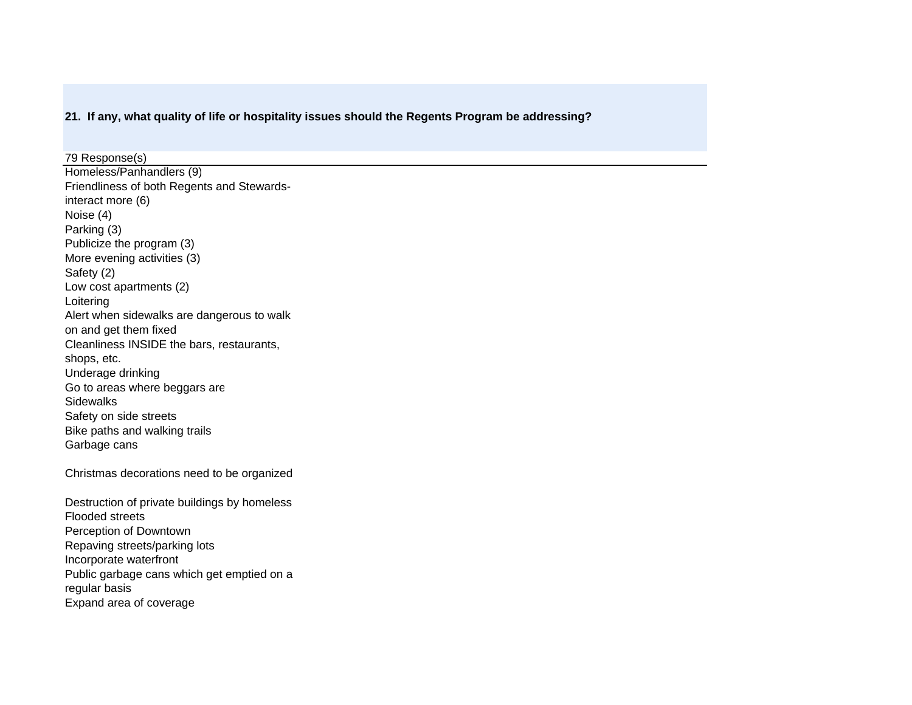### **21. If any, what quality of life or hospitality issues should the Regents Program be addressing?**

Homeless/Panhandlers (9) Friendliness of both Regents and Stewardsinteract more (6) Noise (4) Parking (3) Publicize the program (3) More evening activities (3) Safety (2) Low cost apartments (2) Loitering Alert when sidewalks are dangerous to walk on and get them fixed Cleanliness INSIDE the bars, restaurants, shops, etc. Underage drinking Go to areas where beggars are **Sidewalks** Safety on side streets Bike paths and walking trails Garbage cans 79 Response(s)

Christmas decorations need to be organized

Destruction of private buildings by homeless Flooded streetsPerception of Downtown Repaving streets/parking lots Incorporate waterfront Public garbage cans which get emptied on a regular basis Expand area of coverage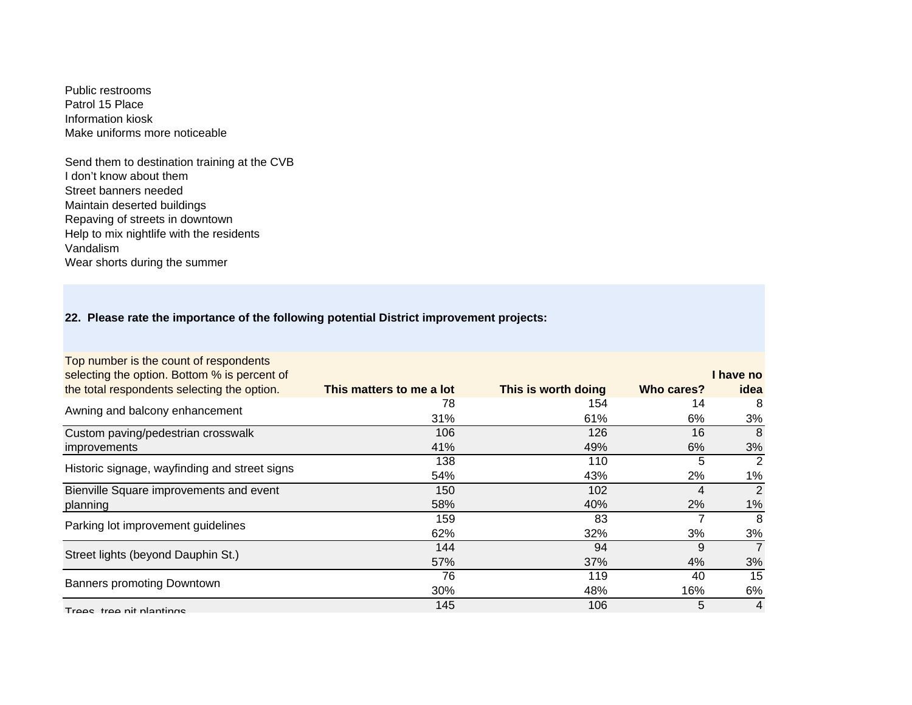Public restrooms Patrol 15 PlaceInformation kioskMake uniforms more noticeable

Send them to destination training at the CVB I don't know about them Street banners needed Maintain deserted buildings Repaving of streets in downtown Help to mix nightlife with the residents VandalismWear shorts during the summer

## **22. Please rate the importance of the following potential District improvement projects:**

| Top number is the count of respondents        |                          |                     |            |                |
|-----------------------------------------------|--------------------------|---------------------|------------|----------------|
| selecting the option. Bottom % is percent of  |                          |                     |            | I have no      |
| the total respondents selecting the option.   | This matters to me a lot | This is worth doing | Who cares? | idea           |
| Awning and balcony enhancement                | 78                       | 154                 | 14         | 8              |
|                                               | 31%                      | 61%                 | 6%         | 3%             |
| Custom paving/pedestrian crosswalk            | 106                      | 126                 | 16         | 8              |
| <i>improvements</i>                           | 41%                      | 49%                 | 6%         | 3%             |
| Historic signage, wayfinding and street signs | 138                      | 110                 | 5          | 2              |
|                                               | 54%                      | 43%                 | 2%         | 1%             |
| Bienville Square improvements and event       | 150                      | 102                 | 4          | 2              |
| planning                                      | 58%                      | 40%                 | 2%         | 1%             |
| Parking lot improvement guidelines            | 159                      | 83                  |            | 8              |
|                                               | 62%                      | 32%                 | 3%         | 3%             |
| Street lights (beyond Dauphin St.)            | 144                      | 94                  | 9          | $\overline{7}$ |
|                                               | 57%                      | 37%                 | 4%         | 3%             |
|                                               | 76                       | 119                 | 40         | 15             |
| <b>Banners promoting Downtown</b>             | 30%                      | 48%                 | 16%        | 6%             |
| Trees tree nit plantings                      | 145                      | 106                 | 5          | 4              |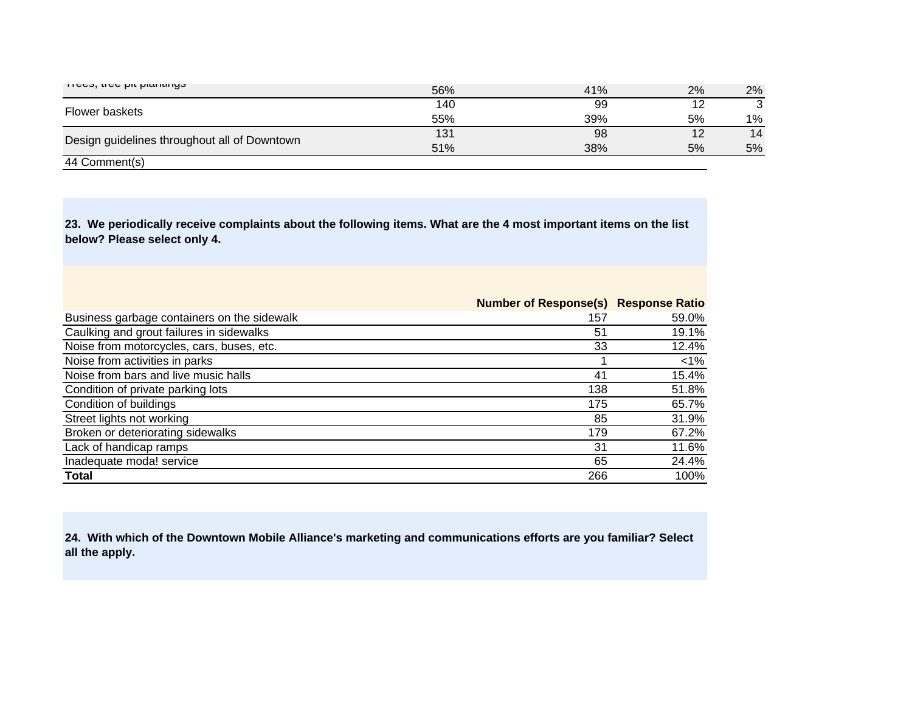| τισσο, ιισσ μιι μιαπιιπιγο                   | 56% | 41% | 2% | 2%           |
|----------------------------------------------|-----|-----|----|--------------|
| Flower baskets                               | 140 | 99  | 12 | $\mathbf{r}$ |
|                                              | 55% | 39% | 5% | $1\%$        |
| Design guidelines throughout all of Downtown | 131 | 98  | 12 | 14           |
|                                              | 51% | 38% | 5% | 5%           |
| 44 Comment(s)                                |     |     |    |              |

**23. We periodically receive complaints about the following items. What are the 4 most important items on the list below? Please select only 4.** 

|                                             | <b>Number of Response(s) Response Ratio</b> |        |
|---------------------------------------------|---------------------------------------------|--------|
| Business garbage containers on the sidewalk | 157                                         | 59.0%  |
| Caulking and grout failures in sidewalks    | 51                                          | 19.1%  |
| Noise from motorcycles, cars, buses, etc.   | 33                                          | 12.4%  |
| Noise from activities in parks              |                                             | $<$ 1% |
| Noise from bars and live music halls        | 41                                          | 15.4%  |
| Condition of private parking lots           | 138                                         | 51.8%  |
| Condition of buildings                      | 175                                         | 65.7%  |
| Street lights not working                   | 85                                          | 31.9%  |
| Broken or deteriorating sidewalks           | 179                                         | 67.2%  |
| Lack of handicap ramps                      | 31                                          | 11.6%  |
| Inadequate moda! service                    | 65                                          | 24.4%  |
| <b>Total</b>                                | 266                                         | 100%   |

**24. With which of the Downtown Mobile Alliance's marketing and communications efforts are you familiar? Select all the apply.**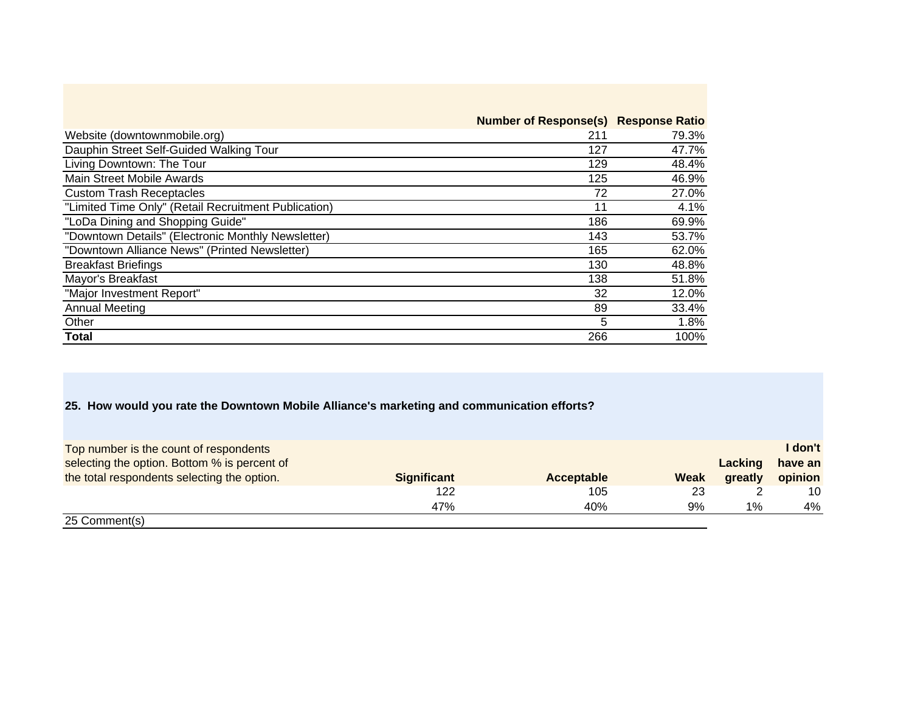|                                                      | <b>Number of Response(s) Response Ratio</b> |       |
|------------------------------------------------------|---------------------------------------------|-------|
| Website (downtownmobile.org)                         | 211                                         | 79.3% |
| Dauphin Street Self-Guided Walking Tour              | 127                                         | 47.7% |
| Living Downtown: The Tour                            | 129                                         | 48.4% |
| Main Street Mobile Awards                            | 125                                         | 46.9% |
| <b>Custom Trash Receptacles</b>                      | 72                                          | 27.0% |
| "Limited Time Only" (Retail Recruitment Publication) | 11                                          | 4.1%  |
| "LoDa Dining and Shopping Guide"                     | 186                                         | 69.9% |
| "Downtown Details" (Electronic Monthly Newsletter)   | 143                                         | 53.7% |
| "Downtown Alliance News" (Printed Newsletter)        | 165                                         | 62.0% |
| <b>Breakfast Briefings</b>                           | 130                                         | 48.8% |
| Mayor's Breakfast                                    | 138                                         | 51.8% |
| "Major Investment Report"                            | 32                                          | 12.0% |
| <b>Annual Meeting</b>                                | 89                                          | 33.4% |
| Other                                                | 5                                           | 1.8%  |
| Total                                                | 266                                         | 100%  |

## **25. How would you rate the Downtown Mobile Alliance's marketing and communication efforts?**

| Top number is the count of respondents       |                    |            |             |         | I don't |
|----------------------------------------------|--------------------|------------|-------------|---------|---------|
| selecting the option. Bottom % is percent of |                    |            |             | Lacking | have an |
| the total respondents selecting the option.  | <b>Significant</b> | Acceptable | <b>Weak</b> | greatly | opinion |
|                                              | 122                | 105        | 23          |         | 10      |
|                                              | 47%                | 40%        | 9%          | 1%      | 4%      |
| 25 Comment(s)                                |                    |            |             |         |         |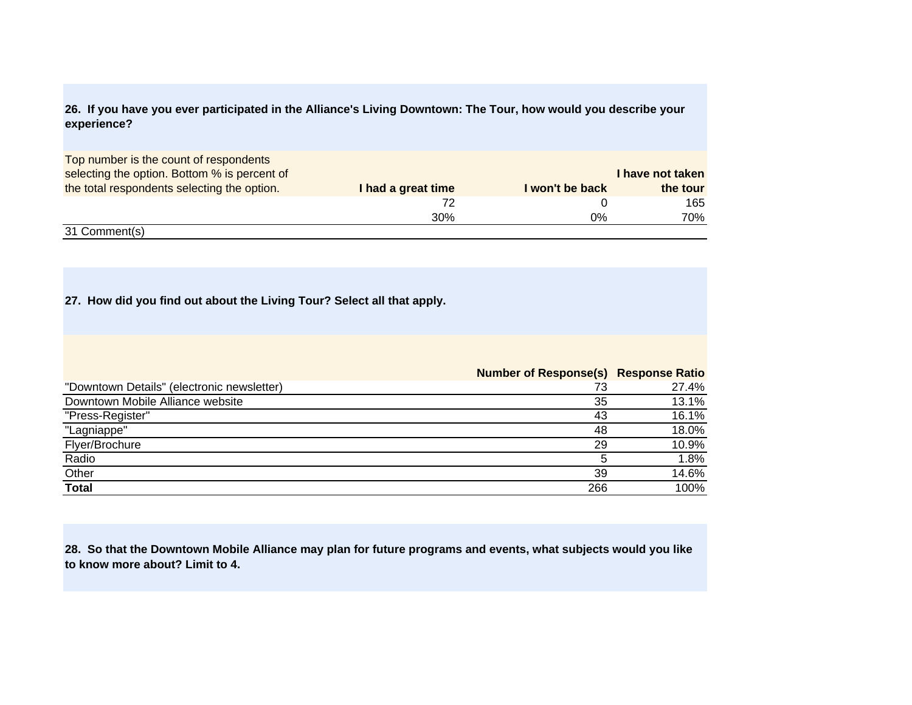## **26. If you have you ever participated in the Alliance's Living Downtown: The Tour, how would you describe your experience?**

| Top number is the count of respondents       |                    |                 |                  |
|----------------------------------------------|--------------------|-----------------|------------------|
| selecting the option. Bottom % is percent of |                    |                 | I have not taken |
| the total respondents selecting the option.  | I had a great time | I won't be back | the tour         |
|                                              |                    |                 | 165              |
|                                              | 30%                | 0%              | 70%              |
| 31 Comment(s)                                |                    |                 |                  |

## **27. How did you find out about the Living Tour? Select all that apply.**

|                                            | <b>Number of Response(s) Response Ratio</b> |       |
|--------------------------------------------|---------------------------------------------|-------|
| "Downtown Details" (electronic newsletter) | 73                                          | 27.4% |
| Downtown Mobile Alliance website           | 35                                          | 13.1% |
| "Press-Register"                           | 43                                          | 16.1% |
| "Lagniappe"                                | 48                                          | 18.0% |
| Flyer/Brochure                             | 29                                          | 10.9% |
| Radio                                      |                                             | 1.8%  |
| Other                                      | 39                                          | 14.6% |
| <b>Total</b>                               | 266                                         | 100%  |

**28. So that the Downtown Mobile Alliance may plan for future programs and events, what subjects would you like to know more about? Limit to 4.**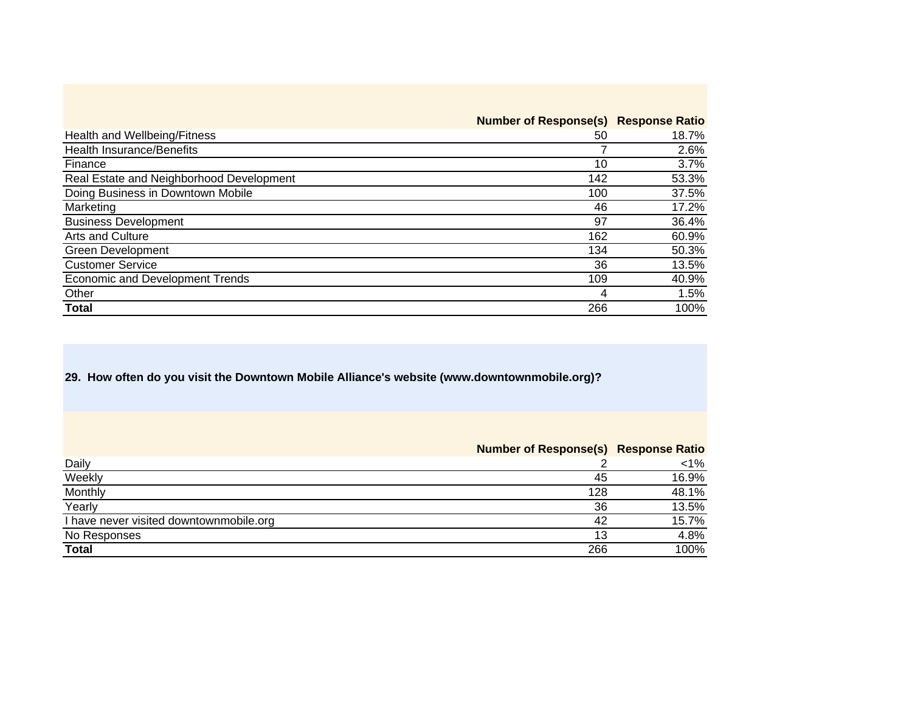|                                          | <b>Number of Response(s) Response Ratio</b> |       |
|------------------------------------------|---------------------------------------------|-------|
| Health and Wellbeing/Fitness             | 50                                          | 18.7% |
| <b>Health Insurance/Benefits</b>         |                                             | 2.6%  |
| Finance                                  | 10                                          | 3.7%  |
| Real Estate and Neighborhood Development | 142                                         | 53.3% |
| Doing Business in Downtown Mobile        | 100                                         | 37.5% |
| Marketing                                | 46                                          | 17.2% |
| <b>Business Development</b>              | 97                                          | 36.4% |
| Arts and Culture                         | 162                                         | 60.9% |
| <b>Green Development</b>                 | 134                                         | 50.3% |
| <b>Customer Service</b>                  | 36                                          | 13.5% |
| <b>Economic and Development Trends</b>   | 109                                         | 40.9% |
| Other                                    | 4                                           | 1.5%  |
| <b>Total</b>                             | 266                                         | 100%  |

**29. How often do you visit the Downtown Mobile Alliance's website (www.downtownmobile.org)?** 

|                                         | <b>Number of Response(s) Response Ratio</b> |        |
|-----------------------------------------|---------------------------------------------|--------|
| Daily                                   |                                             | $<1\%$ |
| Weekly                                  | 45                                          | 16.9%  |
| Monthly                                 | 128                                         | 48.1%  |
| Yearly                                  | 36                                          | 13.5%  |
| I have never visited downtownmobile.org | 42                                          | 15.7%  |
| No Responses                            | 13                                          | 4.8%   |
| <b>Total</b>                            | 266                                         | 100%   |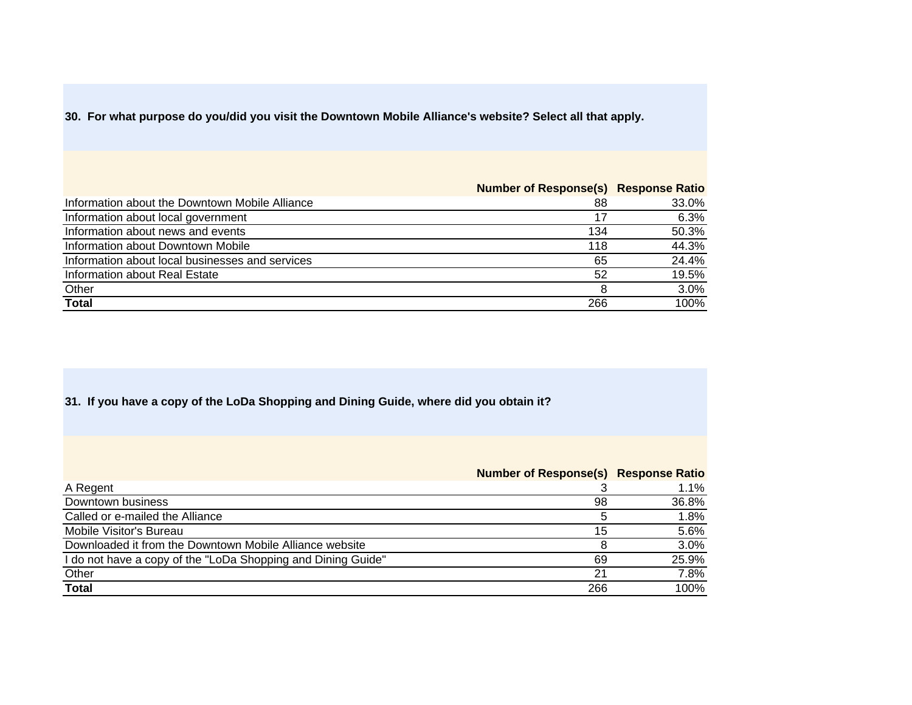**30. For what purpose do you/did you visit the Downtown Mobile Alliance's website? Select all that apply.** 

|                                                 | <b>Number of Response(s) Response Ratio</b> |       |
|-------------------------------------------------|---------------------------------------------|-------|
| Information about the Downtown Mobile Alliance  | 88                                          | 33.0% |
| Information about local government              | 17                                          | 6.3%  |
| Information about news and events               | 134                                         | 50.3% |
| Information about Downtown Mobile               | 118                                         | 44.3% |
| Information about local businesses and services | 65                                          | 24.4% |
| Information about Real Estate                   | 52                                          | 19.5% |
| Other                                           |                                             | 3.0%  |
| <b>Total</b>                                    | 266                                         | 100%  |

## **31. If you have a copy of the LoDa Shopping and Dining Guide, where did you obtain it?**

|                                                              | <b>Number of Response(s) Response Ratio</b> |       |
|--------------------------------------------------------------|---------------------------------------------|-------|
| A Regent                                                     |                                             | 1.1%  |
| Downtown business                                            | 98                                          | 36.8% |
| Called or e-mailed the Alliance                              | 5                                           | 1.8%  |
| Mobile Visitor's Bureau                                      | 15                                          | 5.6%  |
| Downloaded it from the Downtown Mobile Alliance website      |                                             | 3.0%  |
| I do not have a copy of the "LoDa Shopping and Dining Guide" | 69                                          | 25.9% |
| Other                                                        | 21                                          | 7.8%  |
| <b>Total</b>                                                 | 266                                         | 100%  |